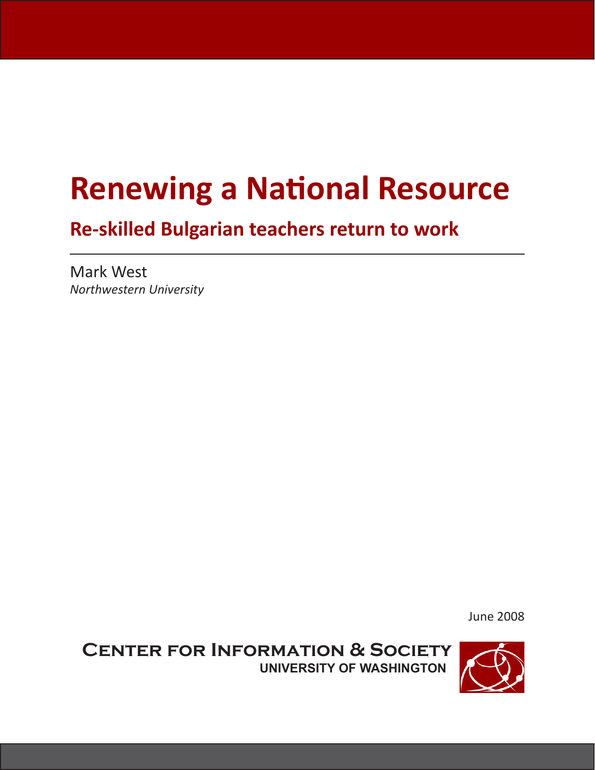# **Renewing a National Resource**

## **Re-skilled Bulgarian teachers return to work**

Mark West *Northwestern University*

June 2008

**Center for Information & Society University of Washington**

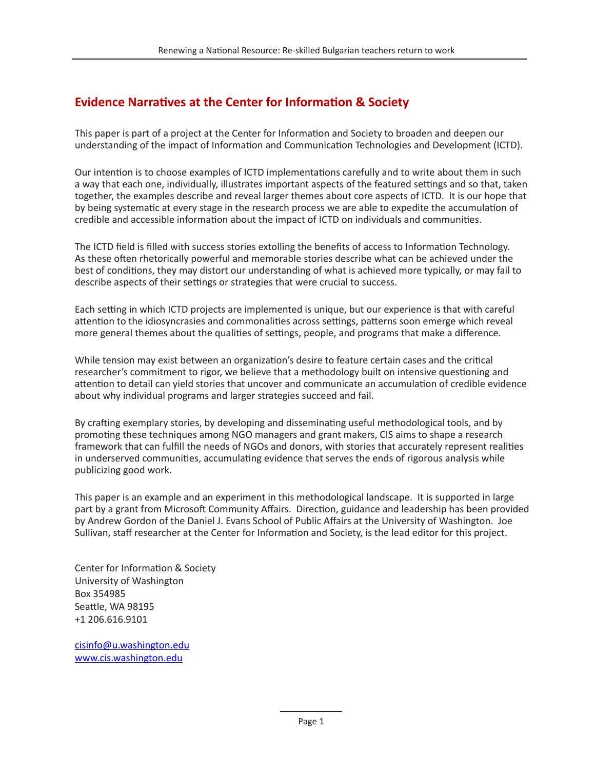#### **Evidence Narratives at the Center for Information & Society**

This paper is part of a project at the Center for Information and Society to broaden and deepen our understanding of the impact of Information and Communication Technologies and Development (ICTD).

Our intention is to choose examples of ICTD implementations carefully and to write about them in such a way that each one, individually, illustrates important aspects of the featured settings and so that, taken together, the examples describe and reveal larger themes about core aspects of ICTD. It is our hope that by being systematic at every stage in the research process we are able to expedite the accumulation of credible and accessible information about the impact of ICTD on individuals and communities.

The ICTD field is filled with success stories extolling the benefits of access to Information Technology. As these often rhetorically powerful and memorable stories describe what can be achieved under the best of conditions, they may distort our understanding of what is achieved more typically, or may fail to describe aspects of their settings or strategies that were crucial to success.

Each setting in which ICTD projects are implemented is unique, but our experience is that with careful attention to the idiosyncrasies and commonalities across settings, patterns soon emerge which reveal more general themes about the qualities of settings, people, and programs that make a difference.

While tension may exist between an organization's desire to feature certain cases and the critical researcher's commitment to rigor, we believe that a methodology built on intensive questioning and attention to detail can yield stories that uncover and communicate an accumulation of credible evidence about why individual programs and larger strategies succeed and fail.

By crafting exemplary stories, by developing and disseminating useful methodological tools, and by promoting these techniques among NGO managers and grant makers, CIS aims to shape a research framework that can fulfill the needs of NGOs and donors, with stories that accurately represent realities in underserved communities, accumulating evidence that serves the ends of rigorous analysis while publicizing good work.

This paper is an example and an experiment in this methodological landscape. It is supported in large part by a grant from Microsoft Community Affairs. Direction, guidance and leadership has been provided by Andrew Gordon of the Daniel J. Evans School of Public Affairs at the University of Washington. Joe Sullivan, staff researcher at the Center for Information and Society, is the lead editor for this project.

Center for Information & Society University of Washington Box 354985 Seattle, WA 98195 +1 206.616.9101

cisinfo@u.washington.edu www.cis.washington.edu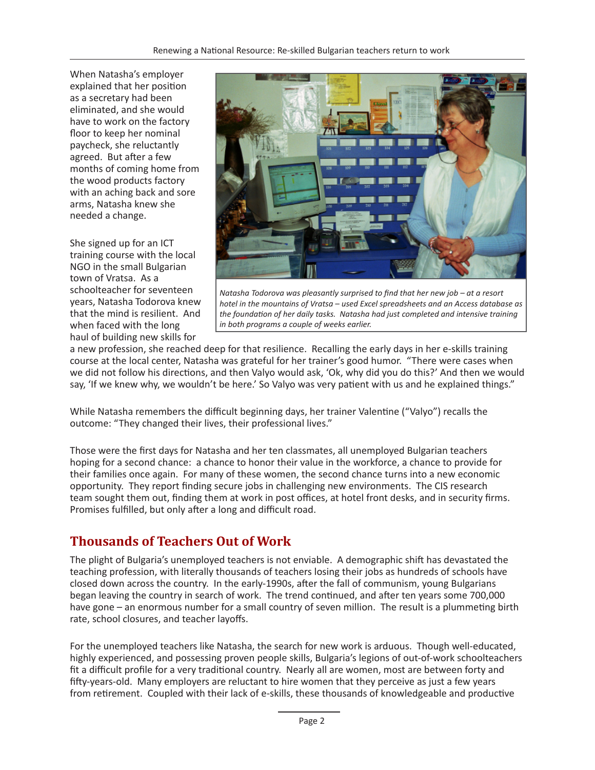When Natasha's employer explained that her position as a secretary had been eliminated, and she would have to work on the factory floor to keep her nominal paycheck, she reluctantly agreed. But after a few months of coming home from the wood products factory with an aching back and sore arms, Natasha knew she needed a change.

She signed up for an ICT training course with the local NGO in the small Bulgarian town of Vratsa. As a schoolteacher for seventeen years, Natasha Todorova knew that the mind is resilient. And when faced with the long haul of building new skills for



*Natasha Todorova was pleasantly surprised to find that her new job – at a resort hotel in the mountains of Vratsa – used Excel spreadsheets and an Access database as the foundation of her daily tasks. Natasha had just completed and intensive training in both programs a couple of weeks earlier.*

a new profession, she reached deep for that resilience. Recalling the early days in her e-skills training course at the local center, Natasha was grateful for her trainer's good humor. "There were cases when we did not follow his directions, and then Valyo would ask, 'Ok, why did you do this?' And then we would say, 'If we knew why, we wouldn't be here.' So Valyo was very patient with us and he explained things."

While Natasha remembers the difficult beginning days, her trainer Valentine ("Valyo") recalls the outcome: "They changed their lives, their professional lives."

Those were the first days for Natasha and her ten classmates, all unemployed Bulgarian teachers hoping for a second chance: a chance to honor their value in the workforce, a chance to provide for their families once again. For many of these women, the second chance turns into a new economic opportunity. They report finding secure jobs in challenging new environments. The CIS research team sought them out, finding them at work in post offices, at hotel front desks, and in security firms. Promises fulfilled, but only after a long and difficult road.

### **Thousands of Teachers Out of Work**

The plight of Bulgaria's unemployed teachers is not enviable. A demographic shift has devastated the teaching profession, with literally thousands of teachers losing their jobs as hundreds of schools have closed down across the country. In the early-1990s, after the fall of communism, young Bulgarians began leaving the country in search of work. The trend continued, and after ten years some 700,000 have gone – an enormous number for a small country of seven million. The result is a plummeting birth rate, school closures, and teacher layoffs.

For the unemployed teachers like Natasha, the search for new work is arduous. Though well-educated, highly experienced, and possessing proven people skills, Bulgaria's legions of out-of-work schoolteachers fit a difficult profile for a very traditional country. Nearly all are women, most are between forty and fifty-years-old. Many employers are reluctant to hire women that they perceive as just a few years from retirement. Coupled with their lack of e-skills, these thousands of knowledgeable and productive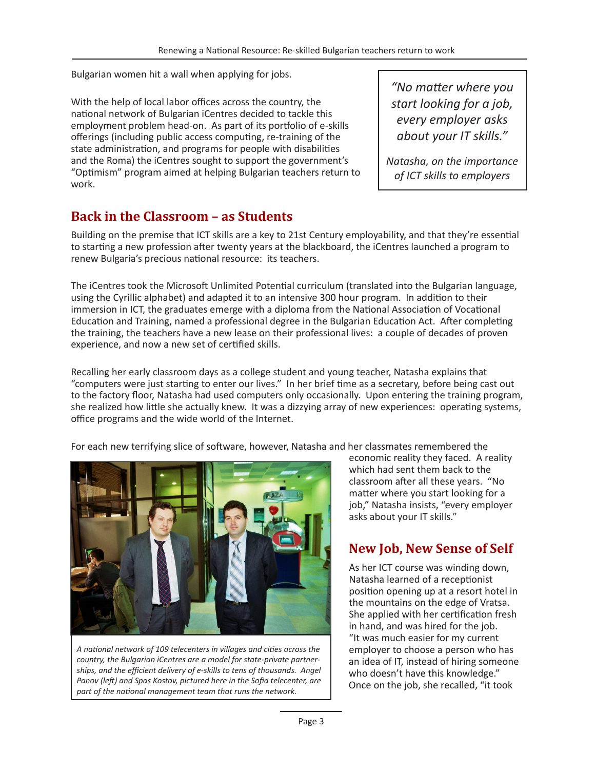Bulgarian women hit a wall when applying for jobs.

With the help of local labor offices across the country, the national network of Bulgarian iCentres decided to tackle this employment problem head-on. As part of its portfolio of e-skills offerings (including public access computing, re-training of the state administration, and programs for people with disabilities and the Roma) the iCentres sought to support the government's "Optimism" program aimed at helping Bulgarian teachers return to work.

*"No matter where you start looking for a job, every employer asks about your IT skills."*

*Natasha, on the importance of ICT skills to employers*

#### **Back in the Classroom – as Students**

Building on the premise that ICT skills are a key to 21st Century employability, and that they're essential to starting a new profession after twenty years at the blackboard, the iCentres launched a program to renew Bulgaria's precious national resource: its teachers.

The iCentres took the Microsoft Unlimited Potential curriculum (translated into the Bulgarian language, using the Cyrillic alphabet) and adapted it to an intensive 300 hour program. In addition to their immersion in ICT, the graduates emerge with a diploma from the National Association of Vocational Education and Training, named a professional degree in the Bulgarian Education Act. After completing the training, the teachers have a new lease on their professional lives: a couple of decades of proven experience, and now a new set of certified skills.

Recalling her early classroom days as a college student and young teacher, Natasha explains that "computers were just starting to enter our lives." In her brief time as a secretary, before being cast out to the factory floor, Natasha had used computers only occasionally. Upon entering the training program, she realized how little she actually knew. It was a dizzying array of new experiences: operating systems, office programs and the wide world of the Internet.

For each new terrifying slice of software, however, Natasha and her classmates remembered the



*A national network of 109 telecenters in villages and cities across the country, the Bulgarian iCentres are a model for state-private partnerships, and the efficient delivery of e-skills to tens of thousands. Angel Panov (left) and Spas Kostov, pictured here in the Sofia telecenter, are part of the national management team that runs the network.*

economic reality they faced. A reality which had sent them back to the classroom after all these years. "No matter where you start looking for a job," Natasha insists, "every employer asks about your IT skills."

#### **New Job, New Sense of Self**

As her ICT course was winding down, Natasha learned of a receptionist position opening up at a resort hotel in the mountains on the edge of Vratsa. She applied with her certification fresh in hand, and was hired for the job. "It was much easier for my current employer to choose a person who has an idea of IT, instead of hiring someone who doesn't have this knowledge." Once on the job, she recalled, "it took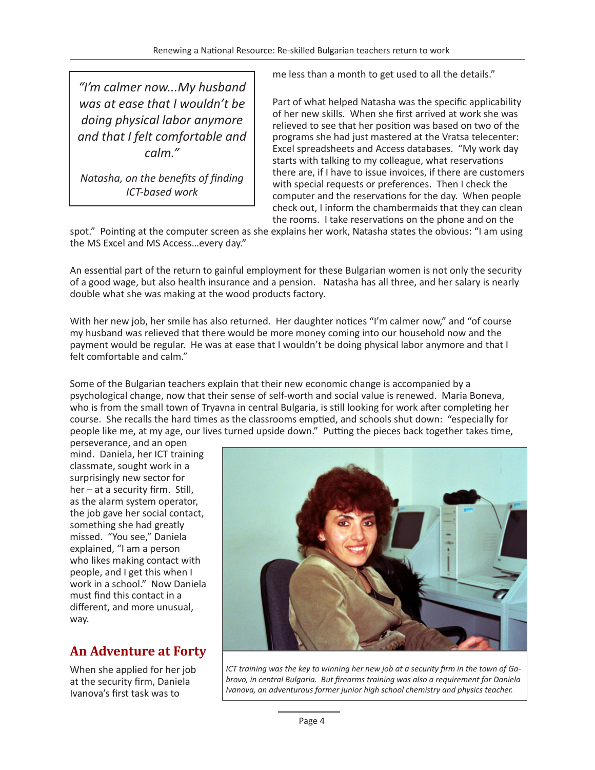*"I'm calmer now...My husband was at ease that I wouldn't be doing physical labor anymore and that I felt comfortable and calm."*

*Natasha, on the benefits of finding ICT-based work*

me less than a month to get used to all the details."

Part of what helped Natasha was the specific applicability of her new skills. When she first arrived at work she was relieved to see that her position was based on two of the programs she had just mastered at the Vratsa telecenter: Excel spreadsheets and Access databases. "My work day starts with talking to my colleague, what reservations there are, if I have to issue invoices, if there are customers with special requests or preferences. Then I check the computer and the reservations for the day. When people check out, I inform the chambermaids that they can clean the rooms. I take reservations on the phone and on the

spot." Pointing at the computer screen as she explains her work, Natasha states the obvious: "I am using the MS Excel and MS Access…every day."

An essential part of the return to gainful employment for these Bulgarian women is not only the security of a good wage, but also health insurance and a pension. Natasha has all three, and her salary is nearly double what she was making at the wood products factory.

With her new job, her smile has also returned. Her daughter notices "I'm calmer now," and "of course my husband was relieved that there would be more money coming into our household now and the payment would be regular. He was at ease that I wouldn't be doing physical labor anymore and that I felt comfortable and calm."

Some of the Bulgarian teachers explain that their new economic change is accompanied by a psychological change, now that their sense of self-worth and social value is renewed. Maria Boneva, who is from the small town of Tryavna in central Bulgaria, is still looking for work after completing her course. She recalls the hard times as the classrooms emptied, and schools shut down: "especially for people like me, at my age, our lives turned upside down." Putting the pieces back together takes time,

perseverance, and an open mind. Daniela, her ICT training classmate, sought work in a surprisingly new sector for her – at a security firm. Still, as the alarm system operator, the job gave her social contact, something she had greatly missed. "You see," Daniela explained, "I am a person who likes making contact with people, and I get this when I work in a school." Now Daniela must find this contact in a different, and more unusual, way.

#### **An Adventure at Forty**

When she applied for her job at the security firm, Daniela Ivanova's first task was to



*ICT training was the key to winning her new job at a security firm in the town of Gabrovo, in central Bulgaria. But firearms training was also a requirement for Daniela Ivanova, an adventurous former junior high school chemistry and physics teacher.*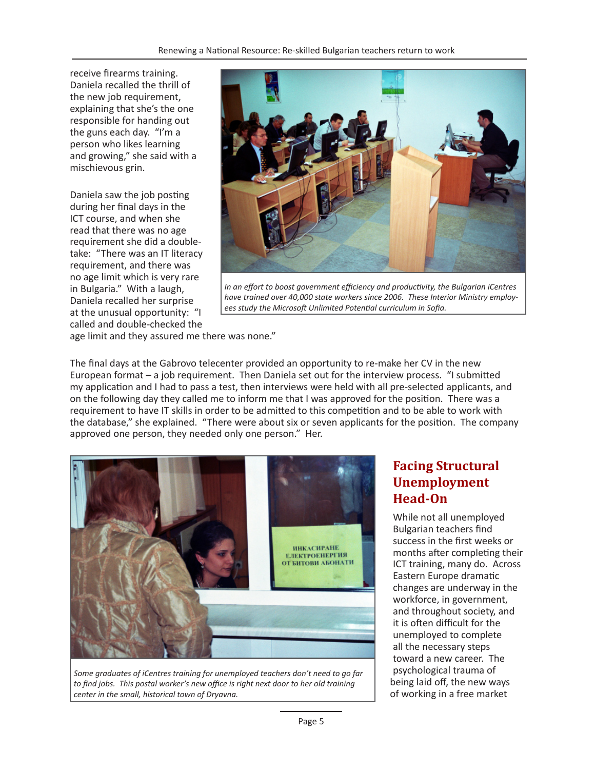receive firearms training. Daniela recalled the thrill of the new job requirement, explaining that she's the one responsible for handing out the guns each day. "I'm a person who likes learning and growing," she said with a mischievous grin.

Daniela saw the job posting during her final days in the ICT course, and when she read that there was no age requirement she did a doubletake: "There was an IT literacy requirement, and there was no age limit which is very rare in Bulgaria." With a laugh, Daniela recalled her surprise at the unusual opportunity: "I called and double-checked the



*In an effort to boost government efficiency and productivity, the Bulgarian iCentres have trained over 40,000 state workers since 2006. These Interior Ministry employees study the Microsoft Unlimited Potential curriculum in Sofia.*

age limit and they assured me there was none."

The final days at the Gabrovo telecenter provided an opportunity to re-make her CV in the new European format – a job requirement. Then Daniela set out for the interview process. "I submitted my application and I had to pass a test, then interviews were held with all pre-selected applicants, and on the following day they called me to inform me that I was approved for the position. There was a requirement to have IT skills in order to be admitted to this competition and to be able to work with the database," she explained. "There were about six or seven applicants for the position. The company approved one person, they needed only one person." Her.



*Some graduates of iCentres training for unemployed teachers don't need to go far to find jobs. This postal worker's new office is right next door to her old training center in the small, historical town of Dryavna.*

#### **Facing Structural Unemployment Head-On**

While not all unemployed Bulgarian teachers find success in the first weeks or months after completing their ICT training, many do. Across Eastern Europe dramatic changes are underway in the workforce, in government, and throughout society, and it is often difficult for the unemployed to complete all the necessary steps toward a new career. The psychological trauma of being laid off, the new ways of working in a free market